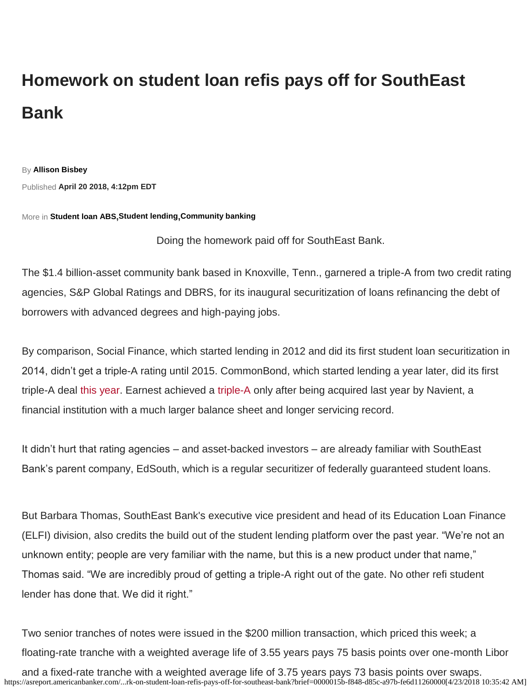## **Homework on student loan refis pays off for SouthEast Bank**

By **[Allison Bisbey](https://asreport.americanbanker.com/author/allison-bisbey)**

Published **April 20 2018, 4:12pm EDT**

More in **[Student loan ABS](https://asreport.americanbanker.com/tag/student-loan-abs),[Student lending](https://asreport.americanbanker.com/tag/student-loans),[Community banking](https://asreport.americanbanker.com/tag/community-banking)**

Doing the homework paid off for SouthEast Bank.

The \$1.4 billion-asset community bank based in Knoxville, Tenn., garnered a triple-A from two credit rating agencies, S&P Global Ratings and DBRS, for its inaugural securitization of loans refinancing the debt of borrowers with advanced degrees and high-paying jobs.

By comparison, Social Finance, which started lending in 2012 and did its first student loan securitization in 2014, didn't get a triple-A rating until 2015. CommonBond, which started lending a year later, did its first triple-A [deal](https://www.linkedin.com/shareArticle?summary=The%20Tennessee%20community%20bank%20garnered%20a%20triple-A%20from%20two%20credit%20rating%20agencies%20for%20its%20inaugural%20securitization%20this%20month%20of%20loans%20refinancing%20the%20debt%20of%20borrowers%20with%20advanced%20degrees%20and%20high-paying%20jobs.&ro=false&title=Homework%20on%20student%20loan%20refis%20pays%20off%20for%20SouthEast%20Bank&mini=true&url=https%3A%2F%2Fasreport.americanbanker.com%2Fnews%2Fhomework-on-student-loan-refis-pays-off-for-southeast-bank) [this year.](https://asreport.americanbanker.com/news/commonbond-takes-its-aaa-straight-to-the-bank) Earnest achieved a [triple-A o](https://asreport.americanbanker.com/news/navient-readies-1st-offering-of-earnest-refi-student-loan-bonds)nly after being acquired last year by Navient, a financial [institution w](https://twitter.com/intent/tweet?original_referer=https%3A%2F%2Fasreport.americanbanker.com%2Fnews%2Fhomework-on-student-loan-refis-pays-off-for-southeast-bank&text=Homework%20on%20student%20loan%20refis%20pays%20off%20for%20SouthEast%20Bank&url=https%3A%2F%2Fasreport.americanbanker.com%2Fnews%2Fhomework-on-student-loan-refis-pays-off-for-southeast-bank)ith a much larger balance sheet and longer servicing record.

It didn't hurt that rating agencies – and asset-backed investors – are already familiar with SouthEast Bank's parent company, EdSouth, which is a regular securitizer of federally guaranteed student loans.

But Barbara Thomas, SouthEast Bank's executive vice president and head of its Education Loan Finance (ELFI) division, also credits the build out of the student lending platform over the past year. "We're not an unknown entity; people are very familiar with the name, but this is a new product under that name," Thomas said. "We are incredibly proud of getting a triple-A right out of the gate. No other refi student lender has done that. We did it right."

Two senior tranches of notes were issued in the \$200 million transaction, which priced this week; a floating-rate tranche with a weighted average life of 3.55 years pays 75 basis points over one-month Libor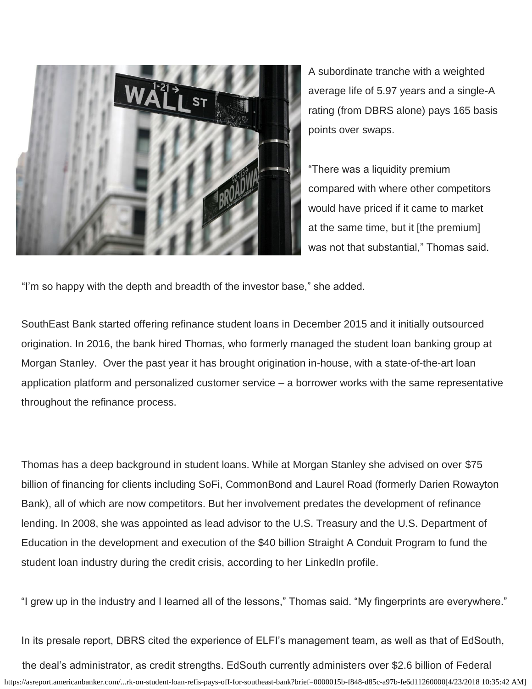

A subordinate tranche with a weighted average life of 5.97 years and a single-A rating (from DBRS alone) pays 165 basis points over swaps.

"There was a liquidity premium compared with where other competitors would have priced if it came to market at the same time, but it [the premium] was not that substantial," Thomas said.

"I'm so happy with the depth and breadth of the investor base," she added.

SouthEast Bank started offering refinance student loans in December 2015 and it initially outsourced origination. In 2016, the bank hired Thomas, who formerly managed the student loan banking group at Morgan Stanley. Over the past year it has brought origination in-house, with a state-of-the-art loan application platform and personalized customer service – a borrower works with the same representative throughout the refinance process.

Thomas has a deep background in student loans. While at Morgan Stanley she advised on over \$75 billion of financing for clients including SoFi, CommonBond and Laurel Road (formerly Darien Rowayton Bank), all of which are now competitors. But her involvement predates the development of refinance lending. In 2008, she was appointed as lead advisor to the U.S. Treasury and the U.S. Department of Education in the development and execution of the \$40 billion Straight A Conduit Program to fund the student loan industry during the credit crisis, according to her LinkedIn profile.

"I grew up in the industry and I learned all of the lessons," Thomas said. "My fingerprints are everywhere."

In its presale report, DBRS cited the experience of ELFI's management team, as well as that of EdSouth,

https://asreport.americanbanker.com/...rk-on-student-loan-refis-pays-off-for-southeast-bank?brief=0000015b-f848-d85c-a97b-fe6d11260000[4/23/2018 10:35:42 AM] the deal's administrator, as credit strengths. EdSouth currently administers over \$2.6 billion of Federal